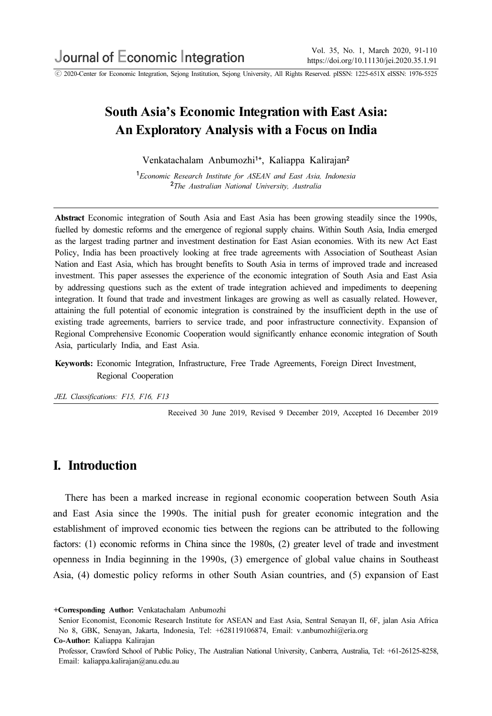ⓒ 2020-Center for Economic Integration, Sejong Institution, Sejong University, All Rights Reserved. pISSN: 1225-651X eISSN: 1976-5525

# South Asia's Economic Integration with East Asia: An Exploratory Analysis with a Focus on India

Venkatachalam Anbumozhi<sup>1+</sup>, Kaliappa Kalirajan<sup>2</sup>

<sup>1</sup>Economic Research Institute for ASEAN and East Asia, Indonesia <sup>2</sup>The Australian National University, Australia

Abstract Economic integration of South Asia and East Asia has been growing steadily since the 1990s, fuelled by domestic reforms and the emergence of regional supply chains. Within South Asia, India emerged as the largest trading partner and investment destination for East Asian economies. With its new Act East Policy, India has been proactively looking at free trade agreements with Association of Southeast Asian Nation and East Asia, which has brought benefits to South Asia in terms of improved trade and increased investment. This paper assesses the experience of the economic integration of South Asia and East Asia by addressing questions such as the extent of trade integration achieved and impediments to deepening integration. It found that trade and investment linkages are growing as well as casually related. However, attaining the full potential of economic integration is constrained by the insufficient depth in the use of existing trade agreements, barriers to service trade, and poor infrastructure connectivity. Expansion of Regional Comprehensive Economic Cooperation would significantly enhance economic integration of South Asia, particularly India, and East Asia.

Keywords: Economic Integration, Infrastructure, Free Trade Agreements, Foreign Direct Investment, Regional Cooperation

JEL Classifications: F15, F16, F13

Received 30 June 2019, Revised 9 December 2019, Accepted 16 December 2019

## I. Introduction

There has been a marked increase in regional economic cooperation between South Asia and East Asia since the 1990s. The initial push for greater economic integration and the establishment of improved economic ties between the regions can be attributed to the following factors: (1) economic reforms in China since the 1980s, (2) greater level of trade and investment openness in India beginning in the 1990s, (3) emergence of global value chains in Southeast Asia, (4) domestic policy reforms in other South Asian countries, and (5) expansion of East

<sup>+</sup>Corresponding Author: Venkatachalam Anbumozhi

Senior Economist, Economic Research Institute for ASEAN and East Asia, Sentral Senayan II, 6F, jalan Asia Africa No 8, GBK, Senayan, Jakarta, Indonesia, Tel: +628119106874, Email: v.anbumozhi@eria.org

Co-Author: Kaliappa Kalirajan

Professor, Crawford School of Public Policy, The Australian National University, Canberra, Australia, Tel: +61-26125-8258, Email: kaliappa.kalirajan@anu.edu.au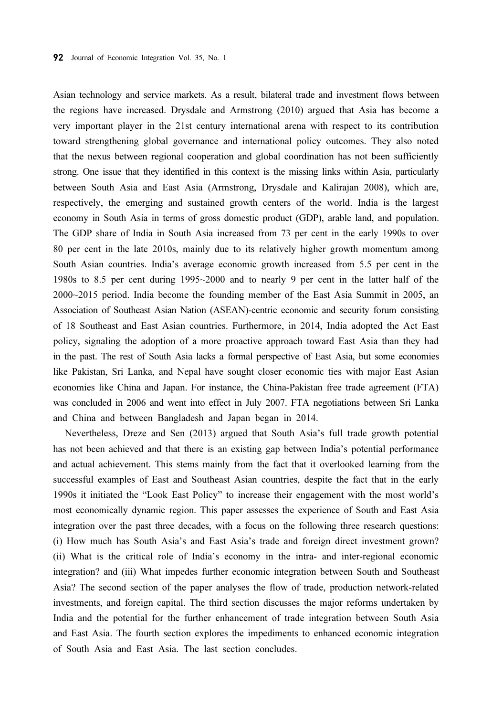Asian technology and service markets. As a result, bilateral trade and investment flows between the regions have increased. Drysdale and Armstrong (2010) argued that Asia has become a very important player in the 21st century international arena with respect to its contribution toward strengthening global governance and international policy outcomes. They also noted that the nexus between regional cooperation and global coordination has not been sufficiently strong. One issue that they identified in this context is the missing links within Asia, particularly between South Asia and East Asia (Armstrong, Drysdale and Kalirajan 2008), which are, respectively, the emerging and sustained growth centers of the world. India is the largest economy in South Asia in terms of gross domestic product (GDP), arable land, and population. The GDP share of India in South Asia increased from 73 per cent in the early 1990s to over 80 per cent in the late 2010s, mainly due to its relatively higher growth momentum among South Asian countries. India's average economic growth increased from 5.5 per cent in the 1980s to 8.5 per cent during 1995~2000 and to nearly 9 per cent in the latter half of the 2000~2015 period. India become the founding member of the East Asia Summit in 2005, an Association of Southeast Asian Nation (ASEAN)-centric economic and security forum consisting of 18 Southeast and East Asian countries. Furthermore, in 2014, India adopted the Act East policy, signaling the adoption of a more proactive approach toward East Asia than they had in the past. The rest of South Asia lacks a formal perspective of East Asia, but some economies like Pakistan, Sri Lanka, and Nepal have sought closer economic ties with major East Asian economies like China and Japan. For instance, the China-Pakistan free trade agreement (FTA) was concluded in 2006 and went into effect in July 2007. FTA negotiations between Sri Lanka and China and between Bangladesh and Japan began in 2014.

Nevertheless, Dreze and Sen (2013) argued that South Asia's full trade growth potential has not been achieved and that there is an existing gap between India's potential performance and actual achievement. This stems mainly from the fact that it overlooked learning from the successful examples of East and Southeast Asian countries, despite the fact that in the early 1990s it initiated the "Look East Policy" to increase their engagement with the most world's most economically dynamic region. This paper assesses the experience of South and East Asia integration over the past three decades, with a focus on the following three research questions: (i) How much has South Asia's and East Asia's trade and foreign direct investment grown? (ii) What is the critical role of India's economy in the intra- and inter-regional economic integration? and (iii) What impedes further economic integration between South and Southeast Asia? The second section of the paper analyses the flow of trade, production network-related investments, and foreign capital. The third section discusses the major reforms undertaken by India and the potential for the further enhancement of trade integration between South Asia and East Asia. The fourth section explores the impediments to enhanced economic integration of South Asia and East Asia. The last section concludes.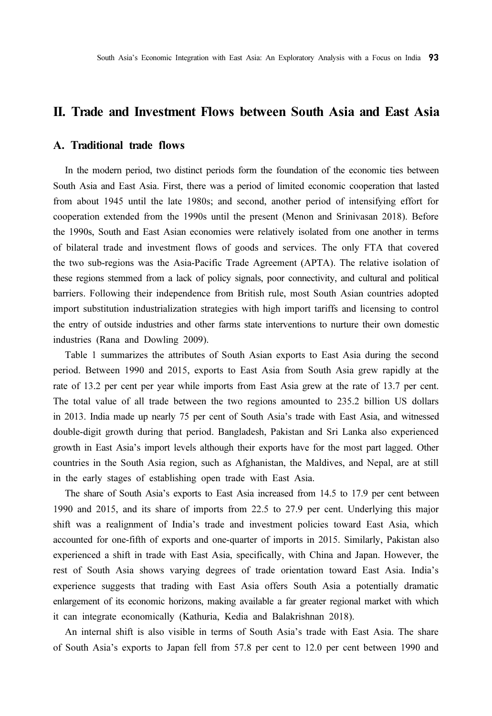### II. Trade and Investment Flows between South Asia and East Asia

### A. Traditional trade flows

In the modern period, two distinct periods form the foundation of the economic ties between South Asia and East Asia. First, there was a period of limited economic cooperation that lasted from about 1945 until the late 1980s; and second, another period of intensifying effort for cooperation extended from the 1990s until the present (Menon and Srinivasan 2018). Before the 1990s, South and East Asian economies were relatively isolated from one another in terms of bilateral trade and investment flows of goods and services. The only FTA that covered the two sub-regions was the Asia-Pacific Trade Agreement (APTA). The relative isolation of these regions stemmed from a lack of policy signals, poor connectivity, and cultural and political barriers. Following their independence from British rule, most South Asian countries adopted import substitution industrialization strategies with high import tariffs and licensing to control the entry of outside industries and other farms state interventions to nurture their own domestic industries (Rana and Dowling 2009).

Table 1 summarizes the attributes of South Asian exports to East Asia during the second period. Between 1990 and 2015, exports to East Asia from South Asia grew rapidly at the rate of 13.2 per cent per year while imports from East Asia grew at the rate of 13.7 per cent. The total value of all trade between the two regions amounted to 235.2 billion US dollars in 2013. India made up nearly 75 per cent of South Asia's trade with East Asia, and witnessed double-digit growth during that period. Bangladesh, Pakistan and Sri Lanka also experienced growth in East Asia's import levels although their exports have for the most part lagged. Other countries in the South Asia region, such as Afghanistan, the Maldives, and Nepal, are at still in the early stages of establishing open trade with East Asia.

The share of South Asia's exports to East Asia increased from 14.5 to 17.9 per cent between 1990 and 2015, and its share of imports from 22.5 to 27.9 per cent. Underlying this major shift was a realignment of India's trade and investment policies toward East Asia, which accounted for one-fifth of exports and one-quarter of imports in 2015. Similarly, Pakistan also experienced a shift in trade with East Asia, specifically, with China and Japan. However, the rest of South Asia shows varying degrees of trade orientation toward East Asia. India's experience suggests that trading with East Asia offers South Asia a potentially dramatic enlargement of its economic horizons, making available a far greater regional market with which it can integrate economically (Kathuria, Kedia and Balakrishnan 2018).

An internal shift is also visible in terms of South Asia's trade with East Asia. The share of South Asia's exports to Japan fell from 57.8 per cent to 12.0 per cent between 1990 and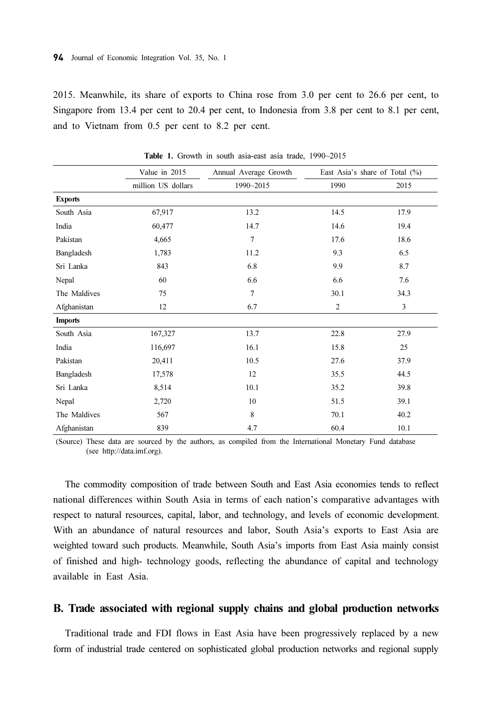2015. Meanwhile, its share of exports to China rose from 3.0 per cent to 26.6 per cent, to Singapore from 13.4 per cent to 20.4 per cent, to Indonesia from 3.8 per cent to 8.1 per cent, and to Vietnam from 0.5 per cent to 8.2 per cent.

|                | Value in 2015      | Annual Average Growth |                | East Asia's share of Total $(\%)$ |
|----------------|--------------------|-----------------------|----------------|-----------------------------------|
|                | million US dollars | 1990~2015             | 1990           | 2015                              |
| <b>Exports</b> |                    |                       |                |                                   |
| South Asia     | 67,917             | 13.2                  | 14.5           | 17.9                              |
| India          | 60,477             | 14.7                  | 14.6           | 19.4                              |
| Pakistan       | 4,665              | 7                     | 17.6           | 18.6                              |
| Bangladesh     | 1,783              | 11.2                  | 9.3            | 6.5                               |
| Sri Lanka      | 843                | 6.8                   | 9.9            | 8.7                               |
| Nepal          | 60                 | 6.6                   | 6.6            | 7.6                               |
| The Maldives   | 75                 | $\tau$                | 30.1           | 34.3                              |
| Afghanistan    | 12                 | 6.7                   | $\mathfrak{2}$ | $\mathfrak{Z}$                    |
| <b>Imports</b> |                    |                       |                |                                   |
| South Asia     | 167,327            | 13.7                  | 22.8           | 27.9                              |
| India          | 116,697            | 16.1                  | 15.8           | 25                                |
| Pakistan       | 20,411             | 10.5                  | 27.6           | 37.9                              |
| Bangladesh     | 17,578             | 12                    | 35.5           | 44.5                              |
| Sri Lanka      | 8,514              | 10.1                  | 35.2           | 39.8                              |
| Nepal          | 2,720              | 10                    | 51.5           | 39.1                              |
| The Maldives   | 567                | 8                     | 70.1           | 40.2                              |
| Afghanistan    | 839                | 4.7                   | 60.4           | 10.1                              |

Table 1. Growth in south asia-east asia trade, 1990~2015

(Source) These data are sourced by the authors, as compiled from the International Monetary Fund database (see http://data.imf.org).

The commodity composition of trade between South and East Asia economies tends to reflect national differences within South Asia in terms of each nation's comparative advantages with respect to natural resources, capital, labor, and technology, and levels of economic development. With an abundance of natural resources and labor, South Asia's exports to East Asia are weighted toward such products. Meanwhile, South Asia's imports from East Asia mainly consist of finished and high- technology goods, reflecting the abundance of capital and technology available in East Asia.

#### B. Trade associated with regional supply chains and global production networks

Traditional trade and FDI flows in East Asia have been progressively replaced by a new form of industrial trade centered on sophisticated global production networks and regional supply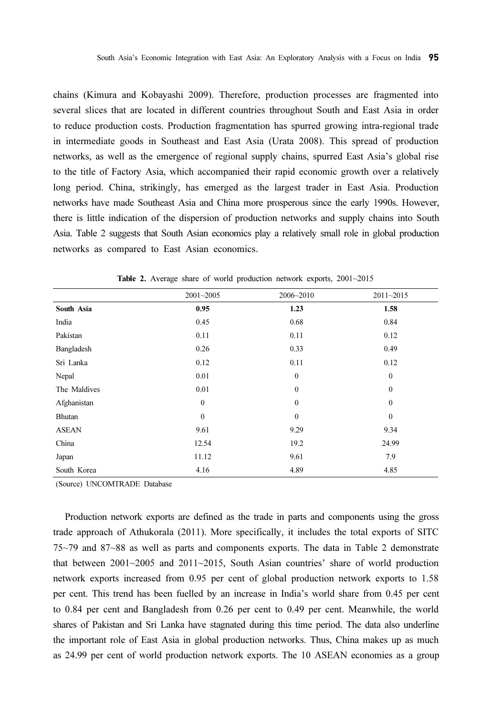chains (Kimura and Kobayashi 2009). Therefore, production processes are fragmented into several slices that are located in different countries throughout South and East Asia in order to reduce production costs. Production fragmentation has spurred growing intra-regional trade in intermediate goods in Southeast and East Asia (Urata 2008). This spread of production networks, as well as the emergence of regional supply chains, spurred East Asia's global rise to the title of Factory Asia, which accompanied their rapid economic growth over a relatively long period. China, strikingly, has emerged as the largest trader in East Asia. Production networks have made Southeast Asia and China more prosperous since the early 1990s. However, there is little indication of the dispersion of production networks and supply chains into South Asia. Table 2 suggests that South Asian economics play a relatively small role in global production networks as compared to East Asian economics.

|              | 2001~2005    | $2006 - 2010$ | 2011~2015    |
|--------------|--------------|---------------|--------------|
| South Asia   | 0.95         | 1.23          | 1.58         |
| India        | 0.45         | 0.68          | 0.84         |
| Pakistan     | 0.11         | 0.11          | 0.12         |
| Bangladesh   | 0.26         | 0.33          | 0.49         |
| Sri Lanka    | 0.12         | 0.11          | 0.12         |
| Nepal        | 0.01         | $\mathbf{0}$  | $\mathbf{0}$ |
| The Maldives | 0.01         | $\Omega$      | $\mathbf{0}$ |
| Afghanistan  | $\mathbf{0}$ | $\mathbf{0}$  | $\mathbf{0}$ |
| Bhutan       | $\mathbf{0}$ | $\mathbf{0}$  | $\mathbf{0}$ |
| <b>ASEAN</b> | 9.61         | 9.29          | 9.34         |
| China        | 12.54        | 19.2          | 24.99        |
| Japan        | 11.12        | 9.61          | 7.9          |
| South Korea  | 4.16         | 4.89          | 4.85         |

Table 2. Average share of world production network exports, 2001~2015

(Source) UNCOMTRADE Database

Production network exports are defined as the trade in parts and components using the gross trade approach of Athukorala (2011). More specifically, it includes the total exports of SITC 75~79 and 87~88 as well as parts and components exports. The data in Table 2 demonstrate that between  $2001~2005$  and  $2011~2015$ , South Asian countries' share of world production network exports increased from 0.95 per cent of global production network exports to 1.58 per cent. This trend has been fuelled by an increase in India's world share from 0.45 per cent to 0.84 per cent and Bangladesh from 0.26 per cent to 0.49 per cent. Meanwhile, the world shares of Pakistan and Sri Lanka have stagnated during this time period. The data also underline the important role of East Asia in global production networks. Thus, China makes up as much as 24.99 per cent of world production network exports. The 10 ASEAN economies as a group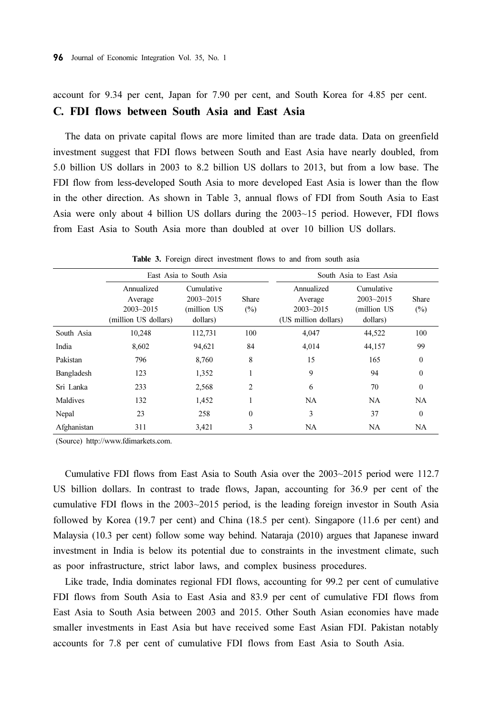account for 9.34 per cent, Japan for 7.90 per cent, and South Korea for 4.85 per cent. C. FDI flows between South Asia and East Asia

The data on private capital flows are more limited than are trade data. Data on greenfield investment suggest that FDI flows between South and East Asia have nearly doubled, from 5.0 billion US dollars in 2003 to 8.2 billion US dollars to 2013, but from a low base. The FDI flow from less-developed South Asia to more developed East Asia is lower than the flow in the other direction. As shown in Table 3, annual flows of FDI from South Asia to East Asia were only about 4 billion US dollars during the 2003~15 period. However, FDI flows from East Asia to South Asia more than doubled at over 10 billion US dollars.

|             |                                                                | East Asia to South Asia                                |              |                                                                | South Asia to East Asia                                |                 |  |
|-------------|----------------------------------------------------------------|--------------------------------------------------------|--------------|----------------------------------------------------------------|--------------------------------------------------------|-----------------|--|
|             | Annualized<br>Average<br>$2003 - 2015$<br>(million US dollars) | Cumulative<br>$2003 - 2015$<br>(million US<br>dollars) | Share<br>(%) | Annualized<br>Average<br>$2003 - 2015$<br>(US million dollars) | Cumulative<br>$2003 - 2015$<br>(million US<br>dollars) | Share<br>$(\%)$ |  |
| South Asia  | 10,248                                                         | 112,731                                                | 100          | 4,047                                                          | 44,522                                                 | 100             |  |
| India       | 8,602                                                          | 94,621                                                 | 84           | 4,014                                                          | 44,157                                                 | 99              |  |
| Pakistan    | 796                                                            | 8,760                                                  | 8            | 15                                                             | 165                                                    | $\theta$        |  |
| Bangladesh  | 123                                                            | 1,352                                                  |              | 9                                                              | 94                                                     | $\theta$        |  |
| Sri Lanka   | 233                                                            | 2,568                                                  | 2            | 6                                                              | 70                                                     | $\theta$        |  |
| Maldives    | 132                                                            | 1,452                                                  |              | NA                                                             | NA                                                     | NA              |  |
| Nepal       | 23                                                             | 258                                                    | $\mathbf{0}$ | 3                                                              | 37                                                     | $\theta$        |  |
| Afghanistan | 311                                                            | 3,421                                                  | 3            | <b>NA</b>                                                      | NA                                                     | NA              |  |

Table 3. Foreign direct investment flows to and from south asia

(Source) http://www.fdimarkets.com.

Cumulative FDI flows from East Asia to South Asia over the 2003~2015 period were 112.7 US billion dollars. In contrast to trade flows, Japan, accounting for 36.9 per cent of the cumulative FDI flows in the 2003~2015 period, is the leading foreign investor in South Asia followed by Korea (19.7 per cent) and China (18.5 per cent). Singapore (11.6 per cent) and Malaysia (10.3 per cent) follow some way behind. Nataraja (2010) argues that Japanese inward investment in India is below its potential due to constraints in the investment climate, such as poor infrastructure, strict labor laws, and complex business procedures.

Like trade, India dominates regional FDI flows, accounting for 99.2 per cent of cumulative FDI flows from South Asia to East Asia and 83.9 per cent of cumulative FDI flows from East Asia to South Asia between 2003 and 2015. Other South Asian economies have made smaller investments in East Asia but have received some East Asian FDI. Pakistan notably accounts for 7.8 per cent of cumulative FDI flows from East Asia to South Asia.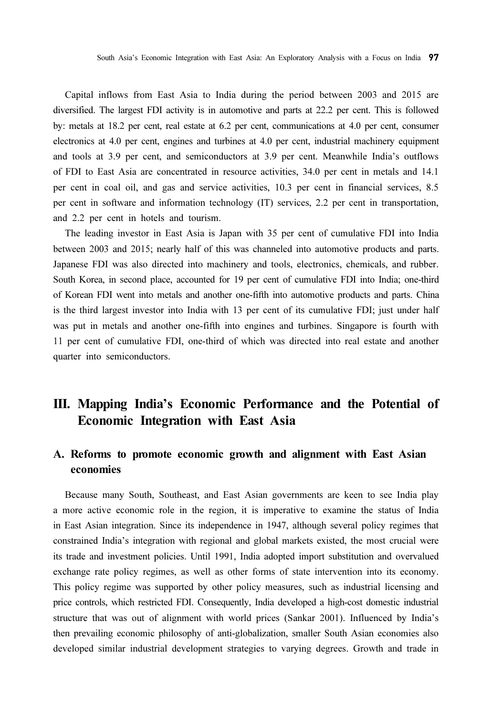Capital inflows from East Asia to India during the period between 2003 and 2015 are diversified. The largest FDI activity is in automotive and parts at 22.2 per cent. This is followed by: metals at 18.2 per cent, real estate at 6.2 per cent, communications at 4.0 per cent, consumer electronics at 4.0 per cent, engines and turbines at 4.0 per cent, industrial machinery equipment and tools at 3.9 per cent, and semiconductors at 3.9 per cent. Meanwhile India's outflows of FDI to East Asia are concentrated in resource activities, 34.0 per cent in metals and 14.1 per cent in coal oil, and gas and service activities, 10.3 per cent in financial services, 8.5 per cent in software and information technology (IT) services, 2.2 per cent in transportation, and 2.2 per cent in hotels and tourism.

The leading investor in East Asia is Japan with 35 per cent of cumulative FDI into India between 2003 and 2015; nearly half of this was channeled into automotive products and parts. Japanese FDI was also directed into machinery and tools, electronics, chemicals, and rubber. South Korea, in second place, accounted for 19 per cent of cumulative FDI into India; one-third of Korean FDI went into metals and another one-fifth into automotive products and parts. China is the third largest investor into India with 13 per cent of its cumulative FDI; just under half was put in metals and another one-fifth into engines and turbines. Singapore is fourth with 11 per cent of cumulative FDI, one-third of which was directed into real estate and another quarter into semiconductors.

# III. Mapping India's Economic Performance and the Potential of Economic Integration with East Asia

## A. Reforms to promote economic growth and alignment with East Asian economies

Because many South, Southeast, and East Asian governments are keen to see India play a more active economic role in the region, it is imperative to examine the status of India in East Asian integration. Since its independence in 1947, although several policy regimes that constrained India's integration with regional and global markets existed, the most crucial were its trade and investment policies. Until 1991, India adopted import substitution and overvalued exchange rate policy regimes, as well as other forms of state intervention into its economy. This policy regime was supported by other policy measures, such as industrial licensing and price controls, which restricted FDI. Consequently, India developed a high-cost domestic industrial structure that was out of alignment with world prices (Sankar 2001). Influenced by India's then prevailing economic philosophy of anti-globalization, smaller South Asian economies also developed similar industrial development strategies to varying degrees. Growth and trade in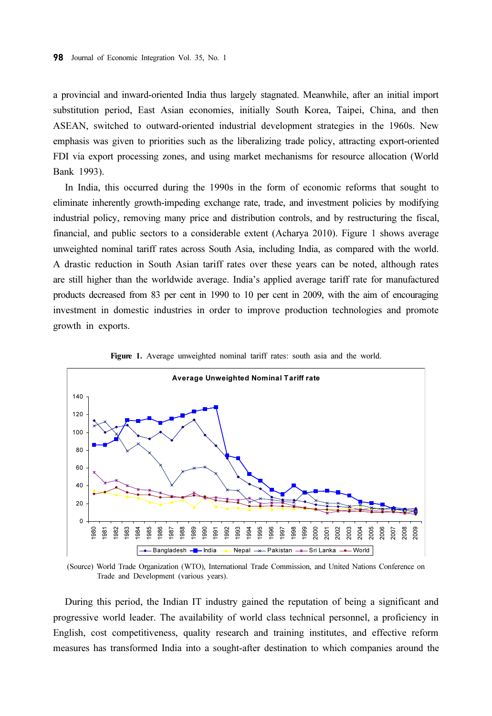a provincial and inward-oriented India thus largely stagnated. Meanwhile, after an initial import substitution period, East Asian economies, initially South Korea, Taipei, China, and then ASEAN, switched to outward-oriented industrial development strategies in the 1960s. New emphasis was given to priorities such as the liberalizing trade policy, attracting export-oriented FDI via export processing zones, and using market mechanisms for resource allocation (World Bank 1993).

In India, this occurred during the 1990s in the form of economic reforms that sought to eliminate inherently growth-impeding exchange rate, trade, and investment policies by modifying industrial policy, removing many price and distribution controls, and by restructuring the fiscal, financial, and public sectors to a considerable extent (Acharya 2010). Figure 1 shows average unweighted nominal tariff rates across South Asia, including India, as compared with the world. A drastic reduction in South Asian tariff rates over these years can be noted, although rates are still higher than the worldwide average. India's applied average tariff rate for manufactured products decreased from 83 per cent in 1990 to 10 per cent in 2009, with the aim of encouraging investment in domestic industries in order to improve production technologies and promote growth in exports.



Figure 1. Average unweighted nominal tariff rates: south asia and the world.

(Source) World Trade Organization (WTO), International Trade Commission, and United Nations Conference on Trade and Development (various years).

During this period, the Indian IT industry gained the reputation of being a significant and progressive world leader. The availability of world class technical personnel, a proficiency in English, cost competitiveness, quality research and training institutes, and effective reform measures has transformed India into a sought-after destination to which companies around the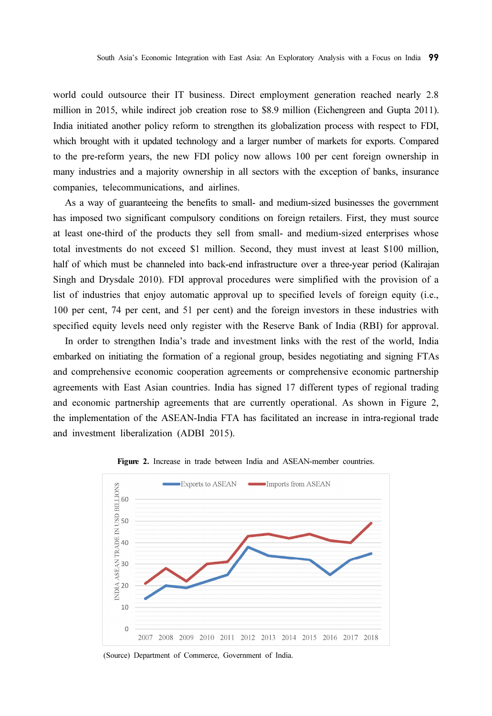world could outsource their IT business. Direct employment generation reached nearly 2.8 million in 2015, while indirect job creation rose to \$8.9 million (Eichengreen and Gupta 2011). India initiated another policy reform to strengthen its globalization process with respect to FDI, which brought with it updated technology and a larger number of markets for exports. Compared to the pre-reform years, the new FDI policy now allows 100 per cent foreign ownership in many industries and a majority ownership in all sectors with the exception of banks, insurance companies, telecommunications, and airlines.

As a way of guaranteeing the benefits to small- and medium-sized businesses the government has imposed two significant compulsory conditions on foreign retailers. First, they must source at least one-third of the products they sell from small- and medium-sized enterprises whose total investments do not exceed \$1 million. Second, they must invest at least \$100 million, half of which must be channeled into back-end infrastructure over a three-year period (Kalirajan Singh and Drysdale 2010). FDI approval procedures were simplified with the provision of a list of industries that enjoy automatic approval up to specified levels of foreign equity (i.e., 100 per cent, 74 per cent, and 51 per cent) and the foreign investors in these industries with specified equity levels need only register with the Reserve Bank of India (RBI) for approval.

In order to strengthen India's trade and investment links with the rest of the world, India embarked on initiating the formation of a regional group, besides negotiating and signing FTAs and comprehensive economic cooperation agreements or comprehensive economic partnership agreements with East Asian countries. India has signed 17 different types of regional trading and economic partnership agreements that are currently operational. As shown in Figure 2, the implementation of the ASEAN-India FTA has facilitated an increase in intra-regional trade and investment liberalization (ADBI 2015).



Figure 2. Increase in trade between India and ASEAN-member countries.

(Source) Department of Commerce, Government of India.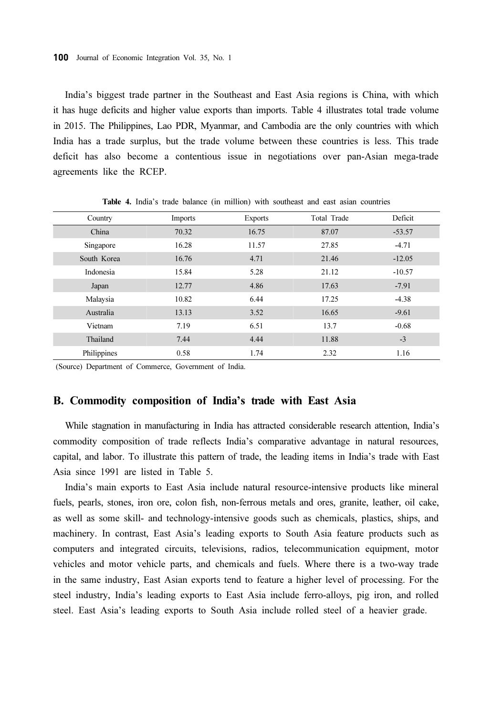India's biggest trade partner in the Southeast and East Asia regions is China, with which it has huge deficits and higher value exports than imports. Table 4 illustrates total trade volume in 2015. The Philippines, Lao PDR, Myanmar, and Cambodia are the only countries with which India has a trade surplus, but the trade volume between these countries is less. This trade deficit has also become a contentious issue in negotiations over pan-Asian mega-trade agreements like the RCEP.

| Country     | Imports | <b>Exports</b> | Total Trade | Deficit  |
|-------------|---------|----------------|-------------|----------|
| China       | 70.32   | 16.75          | 87.07       | $-53.57$ |
| Singapore   | 16.28   | 11.57          | 27.85       | $-4.71$  |
| South Korea | 16.76   | 4.71           | 21.46       | $-12.05$ |
| Indonesia   | 15.84   | 5.28           | 21.12       | $-10.57$ |
| Japan       | 12.77   | 4.86           | 17.63       | $-7.91$  |
| Malaysia    | 10.82   | 6.44           | 17.25       | $-4.38$  |
| Australia   | 13.13   | 3.52           | 16.65       | $-9.61$  |
| Vietnam     | 7.19    | 6.51           | 13.7        | $-0.68$  |
| Thailand    | 7.44    | 4.44           | 11.88       | $-3$     |
| Philippines | 0.58    | 1.74           | 2.32        | 1.16     |

Table 4. India's trade balance (in million) with southeast and east asian countries

(Source) Department of Commerce, Government of India.

### B. Commodity composition of India's trade with East Asia

While stagnation in manufacturing in India has attracted considerable research attention, India's commodity composition of trade reflects India's comparative advantage in natural resources, capital, and labor. To illustrate this pattern of trade, the leading items in India's trade with East Asia since 1991 are listed in Table 5.

India's main exports to East Asia include natural resource-intensive products like mineral fuels, pearls, stones, iron ore, colon fish, non-ferrous metals and ores, granite, leather, oil cake, as well as some skill- and technology-intensive goods such as chemicals, plastics, ships, and machinery. In contrast, East Asia's leading exports to South Asia feature products such as computers and integrated circuits, televisions, radios, telecommunication equipment, motor vehicles and motor vehicle parts, and chemicals and fuels. Where there is a two-way trade in the same industry, East Asian exports tend to feature a higher level of processing. For the steel industry, India's leading exports to East Asia include ferro-alloys, pig iron, and rolled steel. East Asia's leading exports to South Asia include rolled steel of a heavier grade.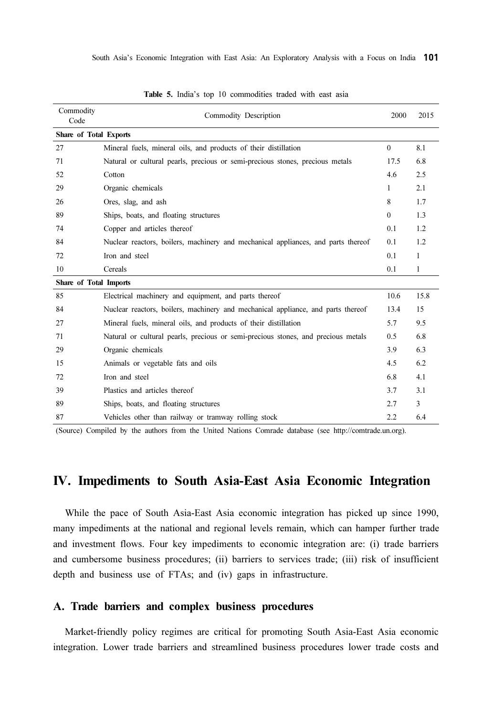| Commodity<br>Code      | Commodity Description                                                             | 2000     | 2015 |
|------------------------|-----------------------------------------------------------------------------------|----------|------|
| Share of Total Exports |                                                                                   |          |      |
| 27                     | Mineral fuels, mineral oils, and products of their distillation                   | $\theta$ | 8.1  |
| 71                     | Natural or cultural pearls, precious or semi-precious stones, precious metals     | 17.5     | 6.8  |
| 52                     | Cotton                                                                            | 4.6      | 2.5  |
| 29                     | Organic chemicals                                                                 | 1        | 2.1  |
| 26                     | Ores, slag, and ash                                                               | 8        | 1.7  |
| 89                     | Ships, boats, and floating structures                                             | $\theta$ | 1.3  |
| 74                     | Copper and articles thereof                                                       | 0.1      | 1.2  |
| 84                     | Nuclear reactors, boilers, machinery and mechanical appliances, and parts thereof | 0.1      | 1.2  |
| 72                     | Iron and steel                                                                    | 0.1      | 1    |
| 10                     | Cereals                                                                           | 0.1      | 1    |
| Share of Total Imports |                                                                                   |          |      |
| 85                     | Electrical machinery and equipment, and parts thereof                             | 10.6     | 15.8 |
| 84                     | Nuclear reactors, boilers, machinery and mechanical appliance, and parts thereof  | 13.4     | 15   |
| 27                     | Mineral fuels, mineral oils, and products of their distillation                   | 5.7      | 9.5  |
| 71                     | Natural or cultural pearls, precious or semi-precious stones, and precious metals | 0.5      | 6.8  |
| 29                     | Organic chemicals                                                                 | 3.9      | 6.3  |
| 15                     | Animals or vegetable fats and oils                                                | 4.5      | 6.2  |
| 72                     | Iron and steel                                                                    | 6.8      | 4.1  |
| 39                     | Plastics and articles thereof                                                     | 3.7      | 3.1  |
| 89                     | Ships, boats, and floating structures                                             | 2.7      | 3    |
| 87                     | Vehicles other than railway or tramway rolling stock                              | 2.2      | 6.4  |

Table 5. India's top 10 commodities traded with east asia

(Source) Compiled by the authors from the United Nations Comrade database (see http://comtrade.un.org).

## IV. Impediments to South Asia-East Asia Economic Integration

While the pace of South Asia-East Asia economic integration has picked up since 1990, many impediments at the national and regional levels remain, which can hamper further trade and investment flows. Four key impediments to economic integration are: (i) trade barriers and cumbersome business procedures; (ii) barriers to services trade; (iii) risk of insufficient depth and business use of FTAs; and (iv) gaps in infrastructure.

### A. Trade barriers and complex business procedures

Market-friendly policy regimes are critical for promoting South Asia-East Asia economic integration. Lower trade barriers and streamlined business procedures lower trade costs and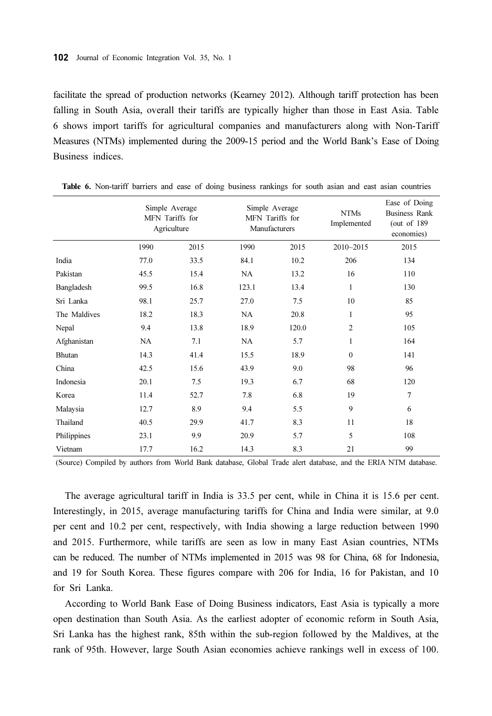facilitate the spread of production networks (Kearney 2012). Although tariff protection has been falling in South Asia, overall their tariffs are typically higher than those in East Asia. Table 6 shows import tariffs for agricultural companies and manufacturers along with Non-Tariff Measures (NTMs) implemented during the 2009-15 period and the World Bank's Ease of Doing Business indices.

|              |      | Simple Average<br>MFN Tariffs for<br>Agriculture |       | Simple Average<br>MFN Tariffs for<br>Manufacturers | <b>NTMs</b><br>Implemented | Ease of Doing<br><b>Business Rank</b><br>(out of $189$<br>economies) |
|--------------|------|--------------------------------------------------|-------|----------------------------------------------------|----------------------------|----------------------------------------------------------------------|
|              | 1990 | 2015                                             | 1990  | 2015                                               | 2010~2015                  | 2015                                                                 |
| India        | 77.0 | 33.5                                             | 84.1  | 10.2                                               | 206                        | 134                                                                  |
| Pakistan     | 45.5 | 15.4                                             | NA    | 13.2                                               | 16                         | 110                                                                  |
| Bangladesh   | 99.5 | 16.8                                             | 123.1 | 13.4                                               | $\mathbf{1}$               | 130                                                                  |
| Sri Lanka    | 98.1 | 25.7                                             | 27.0  | 7.5                                                | 10                         | 85                                                                   |
| The Maldives | 18.2 | 18.3                                             | NA    | 20.8                                               | $\mathbf{1}$               | 95                                                                   |
| Nepal        | 9.4  | 13.8                                             | 18.9  | 120.0                                              | $\overline{c}$             | 105                                                                  |
| Afghanistan  | NA   | 7.1                                              | NA    | 5.7                                                | $\mathbf{1}$               | 164                                                                  |
| Bhutan       | 14.3 | 41.4                                             | 15.5  | 18.9                                               | $\theta$                   | 141                                                                  |
| China        | 42.5 | 15.6                                             | 43.9  | 9.0                                                | 98                         | 96                                                                   |
| Indonesia    | 20.1 | 7.5                                              | 19.3  | 6.7                                                | 68                         | 120                                                                  |
| Korea        | 11.4 | 52.7                                             | 7.8   | 6.8                                                | 19                         | 7                                                                    |
| Malaysia     | 12.7 | 8.9                                              | 9.4   | 5.5                                                | 9                          | 6                                                                    |
| Thailand     | 40.5 | 29.9                                             | 41.7  | 8.3                                                | 11                         | 18                                                                   |
| Philippines  | 23.1 | 9.9                                              | 20.9  | 5.7                                                | 5                          | 108                                                                  |
| Vietnam      | 17.7 | 16.2                                             | 14.3  | 8.3                                                | 21                         | 99                                                                   |

Table 6. Non-tariff barriers and ease of doing business rankings for south asian and east asian countries

(Source) Compiled by authors from World Bank database, Global Trade alert database, and the ERIA NTM database.

The average agricultural tariff in India is 33.5 per cent, while in China it is 15.6 per cent. Interestingly, in 2015, average manufacturing tariffs for China and India were similar, at 9.0 per cent and 10.2 per cent, respectively, with India showing a large reduction between 1990 and 2015. Furthermore, while tariffs are seen as low in many East Asian countries, NTMs can be reduced. The number of NTMs implemented in 2015 was 98 for China, 68 for Indonesia, and 19 for South Korea. These figures compare with 206 for India, 16 for Pakistan, and 10 for Sri Lanka.

According to World Bank Ease of Doing Business indicators, East Asia is typically a more open destination than South Asia. As the earliest adopter of economic reform in South Asia, Sri Lanka has the highest rank, 85th within the sub-region followed by the Maldives, at the rank of 95th. However, large South Asian economies achieve rankings well in excess of 100.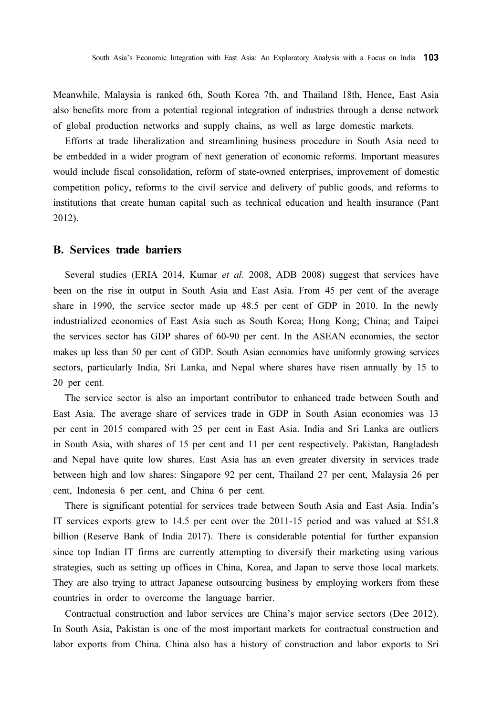Meanwhile, Malaysia is ranked 6th, South Korea 7th, and Thailand 18th, Hence, East Asia also benefits more from a potential regional integration of industries through a dense network of global production networks and supply chains, as well as large domestic markets.

Efforts at trade liberalization and streamlining business procedure in South Asia need to be embedded in a wider program of next generation of economic reforms. Important measures would include fiscal consolidation, reform of state-owned enterprises, improvement of domestic competition policy, reforms to the civil service and delivery of public goods, and reforms to institutions that create human capital such as technical education and health insurance (Pant 2012).

### B. Services trade barriers

Several studies (ERIA 2014, Kumar et al. 2008, ADB 2008) suggest that services have been on the rise in output in South Asia and East Asia. From 45 per cent of the average share in 1990, the service sector made up 48.5 per cent of GDP in 2010. In the newly industrialized economics of East Asia such as South Korea; Hong Kong; China; and Taipei the services sector has GDP shares of 60-90 per cent. In the ASEAN economies, the sector makes up less than 50 per cent of GDP. South Asian economies have uniformly growing services sectors, particularly India, Sri Lanka, and Nepal where shares have risen annually by 15 to 20 per cent.

The service sector is also an important contributor to enhanced trade between South and East Asia. The average share of services trade in GDP in South Asian economies was 13 per cent in 2015 compared with 25 per cent in East Asia. India and Sri Lanka are outliers in South Asia, with shares of 15 per cent and 11 per cent respectively. Pakistan, Bangladesh and Nepal have quite low shares. East Asia has an even greater diversity in services trade between high and low shares: Singapore 92 per cent, Thailand 27 per cent, Malaysia 26 per cent, Indonesia 6 per cent, and China 6 per cent.

There is significant potential for services trade between South Asia and East Asia. India's IT services exports grew to 14.5 per cent over the 2011-15 period and was valued at \$51.8 billion (Reserve Bank of India 2017). There is considerable potential for further expansion since top Indian IT firms are currently attempting to diversify their marketing using various strategies, such as setting up offices in China, Korea, and Japan to serve those local markets. They are also trying to attract Japanese outsourcing business by employing workers from these countries in order to overcome the language barrier.

Contractual construction and labor services are China's major service sectors (Dee 2012). In South Asia, Pakistan is one of the most important markets for contractual construction and labor exports from China. China also has a history of construction and labor exports to Sri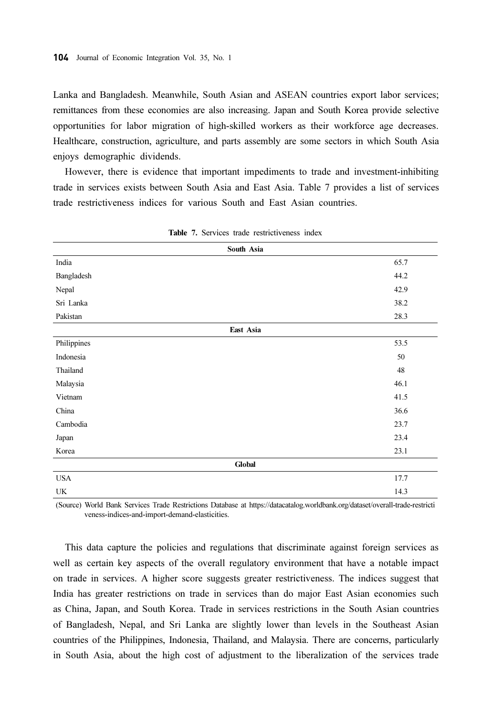Lanka and Bangladesh. Meanwhile, South Asian and ASEAN countries export labor services; remittances from these economies are also increasing. Japan and South Korea provide selective opportunities for labor migration of high-skilled workers as their workforce age decreases. Healthcare, construction, agriculture, and parts assembly are some sectors in which South Asia enjoys demographic dividends.

However, there is evidence that important impediments to trade and investment-inhibiting trade in services exists between South Asia and East Asia. Table 7 provides a list of services trade restrictiveness indices for various South and East Asian countries.

| South Asia  |      |
|-------------|------|
| India       | 65.7 |
| Bangladesh  | 44.2 |
| Nepal       | 42.9 |
| Sri Lanka   | 38.2 |
| Pakistan    | 28.3 |
| East Asia   |      |
| Philippines | 53.5 |
| Indonesia   | 50   |
| Thailand    | 48   |
| Malaysia    | 46.1 |
| Vietnam     | 41.5 |
| China       | 36.6 |
| Cambodia    | 23.7 |
| Japan       | 23.4 |
| Korea       | 23.1 |
| Global      |      |
| <b>USA</b>  | 17.7 |
| UK          | 14.3 |

|  |  |  |  | <b>Table 7.</b> Services trade restrictiveness index |  |
|--|--|--|--|------------------------------------------------------|--|
|--|--|--|--|------------------------------------------------------|--|

(Source) World Bank Services Trade Restrictions Database at https://datacatalog.worldbank.org/dataset/overall-trade-restricti veness-indices-and-import-demand-elasticities.

This data capture the policies and regulations that discriminate against foreign services as well as certain key aspects of the overall regulatory environment that have a notable impact on trade in services. A higher score suggests greater restrictiveness. The indices suggest that India has greater restrictions on trade in services than do major East Asian economies such as China, Japan, and South Korea. Trade in services restrictions in the South Asian countries of Bangladesh, Nepal, and Sri Lanka are slightly lower than levels in the Southeast Asian countries of the Philippines, Indonesia, Thailand, and Malaysia. There are concerns, particularly in South Asia, about the high cost of adjustment to the liberalization of the services trade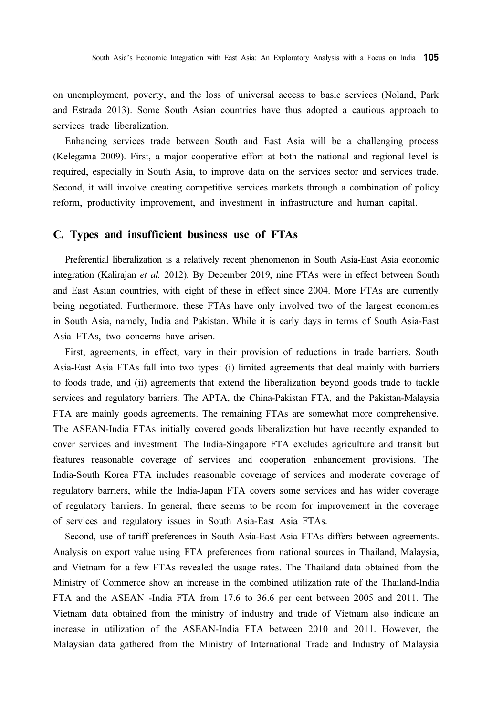on unemployment, poverty, and the loss of universal access to basic services (Noland, Park and Estrada 2013). Some South Asian countries have thus adopted a cautious approach to services trade liberalization.

Enhancing services trade between South and East Asia will be a challenging process (Kelegama 2009). First, a major cooperative effort at both the national and regional level is required, especially in South Asia, to improve data on the services sector and services trade. Second, it will involve creating competitive services markets through a combination of policy reform, productivity improvement, and investment in infrastructure and human capital.

#### C. Types and insufficient business use of FTAs

Preferential liberalization is a relatively recent phenomenon in South Asia-East Asia economic integration (Kalirajan et al. 2012). By December 2019, nine FTAs were in effect between South and East Asian countries, with eight of these in effect since 2004. More FTAs are currently being negotiated. Furthermore, these FTAs have only involved two of the largest economies in South Asia, namely, India and Pakistan. While it is early days in terms of South Asia-East Asia FTAs, two concerns have arisen.

First, agreements, in effect, vary in their provision of reductions in trade barriers. South Asia-East Asia FTAs fall into two types: (i) limited agreements that deal mainly with barriers to foods trade, and (ii) agreements that extend the liberalization beyond goods trade to tackle services and regulatory barriers. The APTA, the China-Pakistan FTA, and the Pakistan-Malaysia FTA are mainly goods agreements. The remaining FTAs are somewhat more comprehensive. The ASEAN-India FTAs initially covered goods liberalization but have recently expanded to cover services and investment. The India-Singapore FTA excludes agriculture and transit but features reasonable coverage of services and cooperation enhancement provisions. The India-South Korea FTA includes reasonable coverage of services and moderate coverage of regulatory barriers, while the India-Japan FTA covers some services and has wider coverage of regulatory barriers. In general, there seems to be room for improvement in the coverage of services and regulatory issues in South Asia-East Asia FTAs.

Second, use of tariff preferences in South Asia-East Asia FTAs differs between agreements. Analysis on export value using FTA preferences from national sources in Thailand, Malaysia, and Vietnam for a few FTAs revealed the usage rates. The Thailand data obtained from the Ministry of Commerce show an increase in the combined utilization rate of the Thailand-India FTA and the ASEAN -India FTA from 17.6 to 36.6 per cent between 2005 and 2011. The Vietnam data obtained from the ministry of industry and trade of Vietnam also indicate an increase in utilization of the ASEAN-India FTA between 2010 and 2011. However, the Malaysian data gathered from the Ministry of International Trade and Industry of Malaysia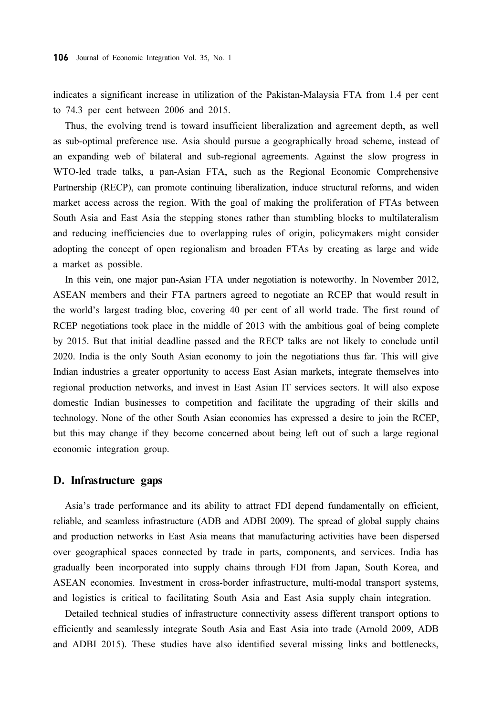indicates a significant increase in utilization of the Pakistan-Malaysia FTA from 1.4 per cent to 74.3 per cent between 2006 and 2015.

Thus, the evolving trend is toward insufficient liberalization and agreement depth, as well as sub-optimal preference use. Asia should pursue a geographically broad scheme, instead of an expanding web of bilateral and sub-regional agreements. Against the slow progress in WTO-led trade talks, a pan-Asian FTA, such as the Regional Economic Comprehensive Partnership (RECP), can promote continuing liberalization, induce structural reforms, and widen market access across the region. With the goal of making the proliferation of FTAs between South Asia and East Asia the stepping stones rather than stumbling blocks to multilateralism and reducing inefficiencies due to overlapping rules of origin, policymakers might consider adopting the concept of open regionalism and broaden FTAs by creating as large and wide a market as possible.

In this vein, one major pan-Asian FTA under negotiation is noteworthy. In November 2012, ASEAN members and their FTA partners agreed to negotiate an RCEP that would result in the world's largest trading bloc, covering 40 per cent of all world trade. The first round of RCEP negotiations took place in the middle of 2013 with the ambitious goal of being complete by 2015. But that initial deadline passed and the RECP talks are not likely to conclude until 2020. India is the only South Asian economy to join the negotiations thus far. This will give Indian industries a greater opportunity to access East Asian markets, integrate themselves into regional production networks, and invest in East Asian IT services sectors. It will also expose domestic Indian businesses to competition and facilitate the upgrading of their skills and technology. None of the other South Asian economies has expressed a desire to join the RCEP, but this may change if they become concerned about being left out of such a large regional economic integration group.

#### D. Infrastructure gaps

Asia's trade performance and its ability to attract FDI depend fundamentally on efficient, reliable, and seamless infrastructure (ADB and ADBI 2009). The spread of global supply chains and production networks in East Asia means that manufacturing activities have been dispersed over geographical spaces connected by trade in parts, components, and services. India has gradually been incorporated into supply chains through FDI from Japan, South Korea, and ASEAN economies. Investment in cross-border infrastructure, multi-modal transport systems, and logistics is critical to facilitating South Asia and East Asia supply chain integration.

Detailed technical studies of infrastructure connectivity assess different transport options to efficiently and seamlessly integrate South Asia and East Asia into trade (Arnold 2009, ADB and ADBI 2015). These studies have also identified several missing links and bottlenecks,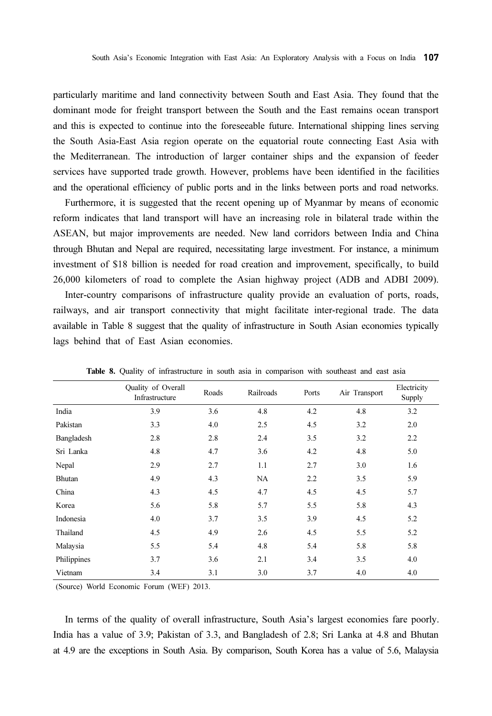particularly maritime and land connectivity between South and East Asia. They found that the dominant mode for freight transport between the South and the East remains ocean transport and this is expected to continue into the foreseeable future. International shipping lines serving the South Asia-East Asia region operate on the equatorial route connecting East Asia with the Mediterranean. The introduction of larger container ships and the expansion of feeder services have supported trade growth. However, problems have been identified in the facilities and the operational efficiency of public ports and in the links between ports and road networks.

Furthermore, it is suggested that the recent opening up of Myanmar by means of economic reform indicates that land transport will have an increasing role in bilateral trade within the ASEAN, but major improvements are needed. New land corridors between India and China through Bhutan and Nepal are required, necessitating large investment. For instance, a minimum investment of \$18 billion is needed for road creation and improvement, specifically, to build 26,000 kilometers of road to complete the Asian highway project (ADB and ADBI 2009).

Inter-country comparisons of infrastructure quality provide an evaluation of ports, roads, railways, and air transport connectivity that might facilitate inter-regional trade. The data available in Table 8 suggest that the quality of infrastructure in South Asian economies typically lags behind that of East Asian economies.

|             | Quality of Overall<br>Infrastructure | Roads | Railroads | Ports | Air Transport | Electricity<br>Supply |
|-------------|--------------------------------------|-------|-----------|-------|---------------|-----------------------|
| India       | 3.9                                  | 3.6   | 4.8       | 4.2   | 4.8           | 3.2                   |
| Pakistan    | 3.3                                  | 4.0   | 2.5       | 4.5   | 3.2           | 2.0                   |
| Bangladesh  | 2.8                                  | 2.8   | 2.4       | 3.5   | 3.2           | 2.2                   |
| Sri Lanka   | 4.8                                  | 4.7   | 3.6       | 4.2   | 4.8           | 5.0                   |
| Nepal       | 2.9                                  | 2.7   | 1.1       | 2.7   | 3.0           | 1.6                   |
| Bhutan      | 4.9                                  | 4.3   | NA        | 2.2   | 3.5           | 5.9                   |
| China       | 4.3                                  | 4.5   | 4.7       | 4.5   | 4.5           | 5.7                   |
| Korea       | 5.6                                  | 5.8   | 5.7       | 5.5   | 5.8           | 4.3                   |
| Indonesia   | 4.0                                  | 3.7   | 3.5       | 3.9   | 4.5           | 5.2                   |
| Thailand    | 4.5                                  | 4.9   | 2.6       | 4.5   | 5.5           | 5.2                   |
| Malaysia    | 5.5                                  | 5.4   | 4.8       | 5.4   | 5.8           | 5.8                   |
| Philippines | 3.7                                  | 3.6   | 2.1       | 3.4   | 3.5           | 4.0                   |
| Vietnam     | 3.4                                  | 3.1   | 3.0       | 3.7   | 4.0           | 4.0                   |

Table 8. Quality of infrastructure in south asia in comparison with southeast and east asia

(Source) World Economic Forum (WEF) 2013.

In terms of the quality of overall infrastructure, South Asia's largest economies fare poorly. India has a value of 3.9; Pakistan of 3.3, and Bangladesh of 2.8; Sri Lanka at 4.8 and Bhutan at 4.9 are the exceptions in South Asia. By comparison, South Korea has a value of 5.6, Malaysia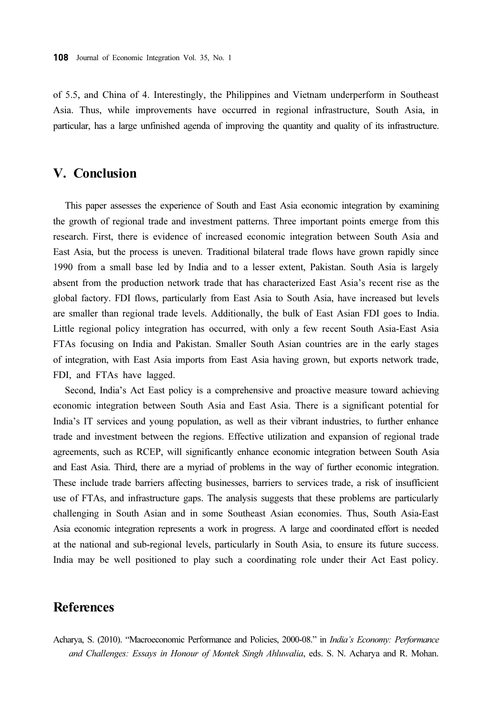of 5.5, and China of 4. Interestingly, the Philippines and Vietnam underperform in Southeast Asia. Thus, while improvements have occurred in regional infrastructure, South Asia, in particular, has a large unfinished agenda of improving the quantity and quality of its infrastructure.

### V. Conclusion

This paper assesses the experience of South and East Asia economic integration by examining the growth of regional trade and investment patterns. Three important points emerge from this research. First, there is evidence of increased economic integration between South Asia and East Asia, but the process is uneven. Traditional bilateral trade flows have grown rapidly since 1990 from a small base led by India and to a lesser extent, Pakistan. South Asia is largely absent from the production network trade that has characterized East Asia's recent rise as the global factory. FDI flows, particularly from East Asia to South Asia, have increased but levels are smaller than regional trade levels. Additionally, the bulk of East Asian FDI goes to India. Little regional policy integration has occurred, with only a few recent South Asia-East Asia FTAs focusing on India and Pakistan. Smaller South Asian countries are in the early stages of integration, with East Asia imports from East Asia having grown, but exports network trade, FDI, and FTAs have lagged.

Second, India's Act East policy is a comprehensive and proactive measure toward achieving economic integration between South Asia and East Asia. There is a significant potential for India's IT services and young population, as well as their vibrant industries, to further enhance trade and investment between the regions. Effective utilization and expansion of regional trade agreements, such as RCEP, will significantly enhance economic integration between South Asia and East Asia. Third, there are a myriad of problems in the way of further economic integration. These include trade barriers affecting businesses, barriers to services trade, a risk of insufficient use of FTAs, and infrastructure gaps. The analysis suggests that these problems are particularly challenging in South Asian and in some Southeast Asian economies. Thus, South Asia-East Asia economic integration represents a work in progress. A large and coordinated effort is needed at the national and sub-regional levels, particularly in South Asia, to ensure its future success. India may be well positioned to play such a coordinating role under their Act East policy.

### **References**

Acharya, S. (2010). "Macroeconomic Performance and Policies, 2000-08." in India's Economy: Performance and Challenges: Essays in Honour of Montek Singh Ahluwalia, eds. S. N. Acharya and R. Mohan.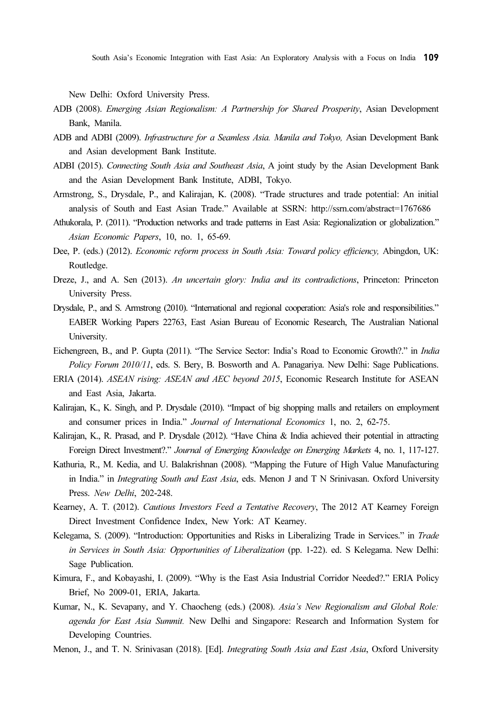New Delhi: Oxford University Press.

- ADB (2008). Emerging Asian Regionalism: A Partnership for Shared Prosperity, Asian Development Bank, Manila.
- ADB and ADBI (2009). Infrastructure for a Seamless Asia. Manila and Tokyo, Asian Development Bank and Asian development Bank Institute.
- ADBI (2015). Connecting South Asia and Southeast Asia, A joint study by the Asian Development Bank and the Asian Development Bank Institute, ADBI, Tokyo.
- Armstrong, S., Drysdale, P., and Kalirajan, K. (2008). "Trade structures and trade potential: An initial analysis of South and East Asian Trade." Available at SSRN: http://ssrn.com/abstract=1767686
- Athukorala, P. (2011). "Production networks and trade patterns in East Asia: Regionalization or globalization." Asian Economic Papers, 10, no. 1, 65-69.
- Dee, P. (eds.) (2012). Economic reform process in South Asia: Toward policy efficiency, Abingdon, UK: Routledge.
- Dreze, J., and A. Sen (2013). An uncertain glory: India and its contradictions, Princeton: Princeton University Press.
- Drysdale, P., and S. Armstrong (2010). "International and regional cooperation: Asia's role and responsibilities." EABER Working Papers 22763, East Asian Bureau of Economic Research, The Australian National University.
- Eichengreen, B., and P. Gupta (2011). "The Service Sector: India's Road to Economic Growth?." in India Policy Forum 2010/11, eds. S. Bery, B. Bosworth and A. Panagariya. New Delhi: Sage Publications.
- ERIA (2014). ASEAN rising: ASEAN and AEC beyond 2015, Economic Research Institute for ASEAN and East Asia, Jakarta.
- Kalirajan, K., K. Singh, and P. Drysdale (2010). "Impact of big shopping malls and retailers on employment and consumer prices in India." Journal of International Economics 1, no. 2, 62-75.
- Kalirajan, K., R. Prasad, and P. Drysdale (2012). "Have China & India achieved their potential in attracting Foreign Direct Investment?." Journal of Emerging Knowledge on Emerging Markets 4, no. 1, 117-127.
- Kathuria, R., M. Kedia, and U. Balakrishnan (2008). "Mapping the Future of High Value Manufacturing in India." in *Integrating South and East Asia*, eds. Menon J and T N Srinivasan. Oxford University Press. New Delhi, 202-248.
- Kearney, A. T. (2012). Cautious Investors Feed a Tentative Recovery, The 2012 AT Kearney Foreign Direct Investment Confidence Index, New York: AT Kearney.
- Kelegama, S. (2009). "Introduction: Opportunities and Risks in Liberalizing Trade in Services." in Trade in Services in South Asia: Opportunities of Liberalization (pp. 1-22). ed. S Kelegama. New Delhi: Sage Publication.
- Kimura, F., and Kobayashi, I. (2009). "Why is the East Asia Industrial Corridor Needed?." ERIA Policy Brief, No 2009-01, ERIA, Jakarta.
- Kumar, N., K. Sevapany, and Y. Chaocheng (eds.) (2008). Asia's New Regionalism and Global Role: agenda for East Asia Summit. New Delhi and Singapore: Research and Information System for Developing Countries.
- Menon, J., and T. N. Srinivasan (2018). [Ed]. Integrating South Asia and East Asia, Oxford University